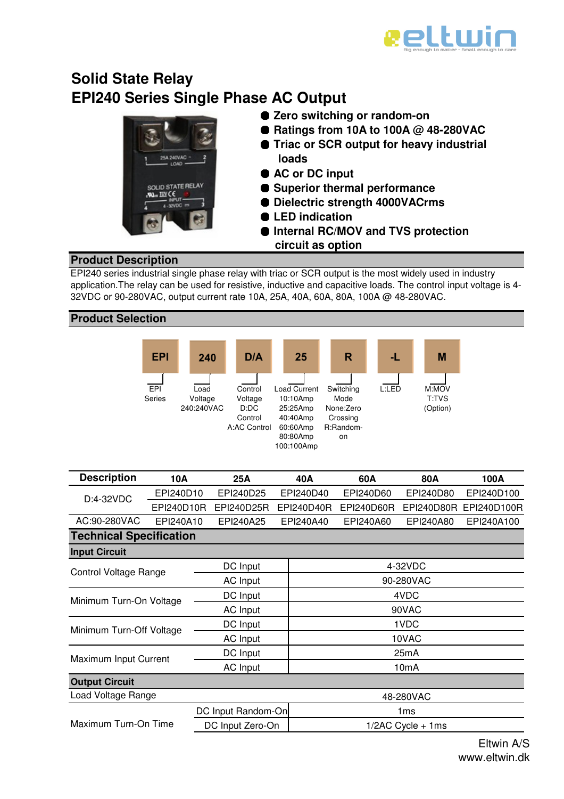

# **Solid State Relay EPI240 Series Single Phase AC Output**



- ● **Zero switching or random-on**
- Ratings from 10A to 100A @ 48-280VAC
- ● **Triac or SCR output for heavy industrial loads**
- **AC** or **DC** input
- ● **Superior thermal performance**
- ● **Dielectric strength 4000VACrms**
- ● **LED indication**
- ● **Internal RC/MOV and TVS protection circuit as option**

### **Product Description**

EPI240 series industrial single phase relay with triac or SCR output is the most widely used in industry application.The relay can be used for resistive, inductive and capacitive loads. The control input voltage is 4- 32VDC or 90-280VAC, output current rate 10A, 25A, 40A, 60A, 80A, 100A @ 48-280VAC.

### **Product Selection**



| <b>Description</b>             | 10A        | 25A                | 40A        | 60A               | 80A               | 100A        |  |
|--------------------------------|------------|--------------------|------------|-------------------|-------------------|-------------|--|
| D:4-32VDC                      | EPI240D10  | EPI240D25          | EPI240D40  | EPI240D60         | EPI240D80         | EPI240D100  |  |
|                                | EPI240D10R | EPI240D25R         | EPI240D40R | EPI240D60R        | EPI240D80R        | EPI240D100R |  |
| AC:90-280VAC                   | EPI240A10  | EPI240A25          | EPI240A40  | EPI240A60         | EPI240A80         | EPI240A100  |  |
| <b>Technical Specification</b> |            |                    |            |                   |                   |             |  |
| <b>Input Circuit</b>           |            |                    |            |                   |                   |             |  |
| <b>Control Voltage Range</b>   |            | DC Input           |            | 4-32VDC           |                   |             |  |
|                                |            | AC Input           |            | 90-280VAC         |                   |             |  |
| Minimum Turn-On Voltage        |            | DC Input           |            | 4VDC              |                   |             |  |
|                                |            | AC Input           |            | 90VAC             |                   |             |  |
| Minimum Turn-Off Voltage       |            | DC Input           |            | 1VDC              |                   |             |  |
|                                |            | AC Input           |            | 10VAC             |                   |             |  |
| Maximum Input Current          |            | DC Input           |            | 25mA              |                   |             |  |
|                                |            | <b>AC Input</b>    |            | 10 <sub>m</sub> A |                   |             |  |
| <b>Output Circuit</b>          |            |                    |            |                   |                   |             |  |
| Load Voltage Range             |            |                    |            | 48-280VAC         |                   |             |  |
|                                |            | DC Input Random-On |            |                   | 1 <sub>ms</sub>   |             |  |
| Maximum Turn-On Time           |            | DC Input Zero-On   |            |                   | 1/2AC Cycle + 1ms |             |  |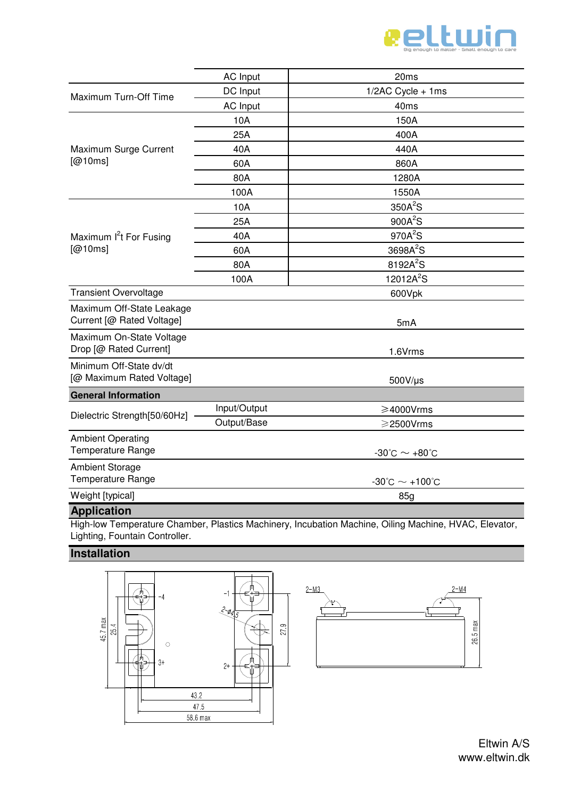

| AC Input     | 20ms                                     |  |  |
|--------------|------------------------------------------|--|--|
| DC Input     | 1/2AC Cycle + 1ms                        |  |  |
| AC Input     | 40ms                                     |  |  |
| 10A          | 150A                                     |  |  |
| 25A          | 400A                                     |  |  |
| 40A          | 440A                                     |  |  |
| 60A          | 860A                                     |  |  |
| 80A          | 1280A                                    |  |  |
| 100A         | 1550A                                    |  |  |
| 10A          | 350A <sup>2</sup> S                      |  |  |
| 25A          | 900A <sup>2</sup> S                      |  |  |
| 40A          | 970A <sup>2</sup> S                      |  |  |
| 60A          | 3698A <sup>2</sup> S                     |  |  |
| 80A          | 8192A <sup>2</sup> S                     |  |  |
| 100A         | 12012 $A^2S$                             |  |  |
|              | 600Vpk                                   |  |  |
|              | 5mA                                      |  |  |
|              | 1.6Vrms                                  |  |  |
|              | $500$ V/µs                               |  |  |
|              |                                          |  |  |
| Input/Output | $\geq$ 4000Vrms                          |  |  |
| Output/Base  | ≥2500Vrms                                |  |  |
|              | $-30^{\circ}$ C $\sim +80^{\circ}$ C     |  |  |
|              |                                          |  |  |
|              | $-30^{\circ}$ C $\sim$ +100 $^{\circ}$ C |  |  |
|              | 85g                                      |  |  |
|              |                                          |  |  |

### **Application**

High-low Temperature Chamber, Plastics Machinery, Incubation Machine, Oiling Machine, HVAC, Elevator, Lighting, Fountain Controller.

## **Installation**





Eltwin A/S www.eltwin.dk